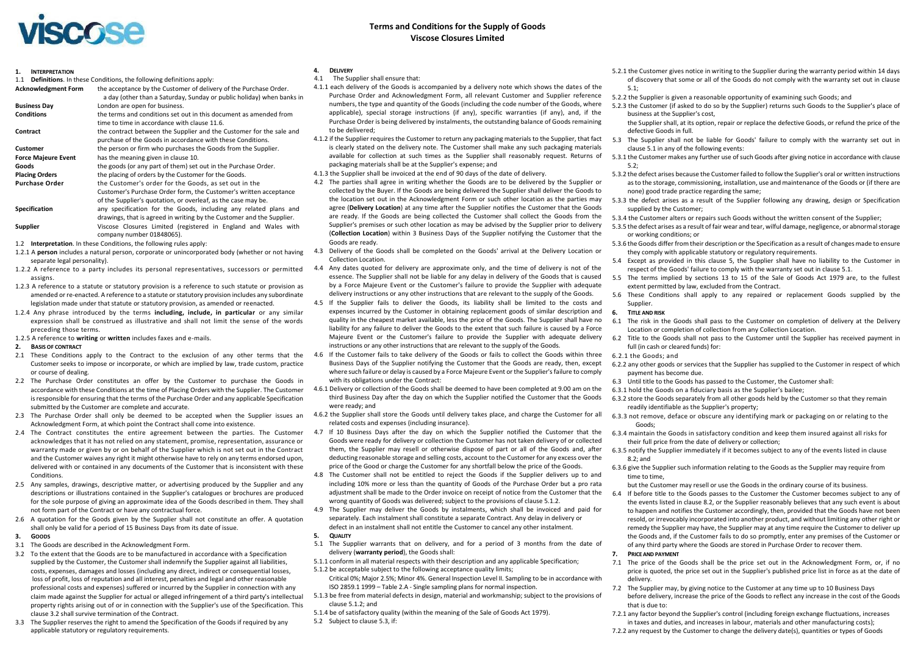# **Terms and Conditions for the Supply of Goods Terms and Conditions for the Supply of Goods Viscose Closures Limited Viscose Closures Limited**

| 1.<br><b>INTERPRETATION</b> |                                                                           | 4.         | D  |
|-----------------------------|---------------------------------------------------------------------------|------------|----|
| 1.1                         | <b>Definitions.</b> In these Conditions, the following definitions apply: | 4.1        |    |
| <b>Acknowledgment Form</b>  | the acceptance by the Customer of delivery of the Purchase Order.         | 4.1.1 e    |    |
|                             | a day (other than a Saturday, Sunday or public holiday) when banks in     |            | P  |
| <b>Business Day</b>         | London are open for business.                                             |            | n  |
| <b>Conditions</b>           | the terms and conditions set out in this document as amended from         |            | a  |
|                             | time to time in accordance with clause 11.6.                              |            | P  |
| Contract                    | the contract between the Supplier and the Customer for the sale and       |            | tc |
|                             | purchase of the Goods in accordance with these Conditions.                | 4.1.2 if   |    |
| Customer                    | the person or firm who purchases the Goods from the Supplier.             |            | is |
| <b>Force Majeure Event</b>  | has the meaning given in clause 10.                                       |            | a  |
| Goods                       | the goods (or any part of them) set out in the Purchase Order.            |            | p  |
| <b>Placing Orders</b>       | the placing of orders by the Customer for the Goods.                      | $4.1.3$ th |    |
| <b>Purchase Order</b>       | the Customer's order for the Goods, as set out in the                     | 4.2 TI     |    |
|                             | Customer's Purchase Order form, the Customer's written acceptance         |            | C( |
|                             | of the Supplier's quotation, or overleaf, as the case may be.             |            | tŀ |
| <b>Specification</b>        | any specification for the Goods, including any related plans and          |            | a, |
|                             | drawings, that is agreed in writing by the Customer and the Supplier.     |            | a  |
| Supplier                    | Viscose Closures Limited (registered in England and Wales with            |            | Sι |
|                             | company number 01848065).                                                 |            | (٥ |

1.2 **Interpretation**. In these Conditions, the following rules apply:

- 1.2.1 A **person** includes a natural person, corporate or unincorporated body (whether or not having separate legal personality).
- 1.2.2 A reference to a party includes its personal representatives, successors or permitted assigns.
- 1.2.3 A reference to a statute or statutory provision is a reference to such statute or provision as amended or re-enacted. A reference to a statute or statutory provision includes any subordinate legislation made under that statute or statutory provision, as amended or reenacted.
- 1.2.4 Any phrase introduced by the terms **including, include, in particular** or any similar expression shall be construed as illustrative and shall not limit the sense of the words preceding those terms.
- 1.2.5 A reference to **writing** or **written** includes faxes and e-mails.

### **2. BASIS OF CONTRACT**

- 2.1 These Conditions apply to the Contract to the exclusion of any other terms that the 4.6 Customer seeks to impose or incorporate, or which are implied by law, trade custom, practice or course of dealing.
- 2.2 The Purchase Order constitutes an offer by the Customer to purchase the Goods in accordance with these Conditions at the time of Placing Orders with the Supplier. The Customer is responsible for ensuring that the terms of the Purchase Order and any applicable Specification submitted by the Customer are complete and accurate.
- 2.3 The Purchase Order shall only be deemed to be accepted when the Supplier issues an Acknowledgment Form, at which point the Contract shall come into existence.
- 2.4 The Contract constitutes the entire agreement between the parties. The Customer acknowledges that it has not relied on any statement, promise, representation, assurance or warranty made or given by or on behalf of the Supplier which is not set out in the Contract and the Customer waives any right it might otherwise have to rely on any terms endorsed upon, delivered with or contained in any documents of the Customer that is inconsistent with these **Conditions**
- 2.5 Any samples, drawings, descriptive matter, or advertising produced by the Supplier and any descriptions or illustrations contained in the Supplier's catalogues or brochures are produced for the sole purpose of giving an approximate idea of the Goods described in them. They shall not form part of the Contract or have any contractual force.
- 2.6 A quotation for the Goods given by the Supplier shall not constitute an offer. A quotation shall only be valid for a period of 15 Business Days from its date of issue.

### **3. GOODS**

- 3.1 The Goods are described in the Acknowledgment Form.
- 3.2 To the extent that the Goods are to be manufactured in accordance with a Specification supplied by the Customer, the Customer shall indemnify the Supplier against all liabilities, costs, expenses, damages and losses (including any direct, indirect or consequential losses, loss of profit, loss of reputation and all interest, penalties and legal and other reasonable professional costs and expenses) suffered or incurred by the Supplier in connection with any claim made against the Supplier for actual or alleged infringement of a third party's intellectual 5.1.3 be free from material defects in design, material and workmanship; subject to the provisions of property rights arising out of or in connection with the Supplier's use of the Specification. This clause 3.2 shall survive termination of the Contract.
- 3.3 The Supplier reserves the right to amend the Specification of the Goods if required by any applicable statutory or regulatory requirements.

### **4. DELIVERY**

- 4.1 The Supplier shall ensure that:
- 4.1.1 each delivery of the Goods is accompanied by a delivery note which shows the dates of the Purchase Order and Acknowledgment Form, all relevant Customer and Supplier reference numbers, the type and quantity of the Goods (including the code number of the Goods, where applicable), special storage instructions (if any), specific warranties (if any), and, if the Purchase Order is being delivered by instalments, the outstanding balance of Goods remaining to be delivered;
- 4.1.2 if the Supplier requires the Customer to return any packaging materials to the Supplier, that fact is clearly stated on the delivery note. The Customer shall make any such packaging materials available for collection at such times as the Supplier shall reasonably request. Returns of packaging materials shall be at the Supplier's expense; and
- 4.1.3 the Supplier shall be invoiced at the end of 90 days of the date of delivery.
- 4.2 The parties shall agree in writing whether the Goods are to be delivered by the Supplier or collected by the Buyer. If the Goods are being delivered the Supplier shall deliver the Goods to the location set out in the Acknowledgment Form or such other location as the parties may agree (**Delivery Location**) at any time after the Supplier notifies the Customer that the Goods are ready. If the Goods are being collected the Customer shall collect the Goods from the Supplier's premises or such other location as may be advised by the Supplier prior to delivery (**Collection Location**) within 3 Business Days of the Supplier notifying the Customer that the Goods are ready.
- 4.3 Delivery of the Goods shall be completed on the Goods' arrival at the Delivery Location or Collection Location.
- 4.4 Any dates quoted for delivery are approximate only, and the time of delivery is not of the essence. The Supplier shall not be liable for any delay in delivery of the Goods that is caused by a Force Majeure Event or the Customer's failure to provide the Supplier with adequate delivery instructions or any other instructions that are relevant to the supply of the Goods.
- 4.5 If the Supplier fails to deliver the Goods, its liability shall be limited to the costs and expenses incurred by the Customer in obtaining replacement goods of similar description and quality in the cheapest market available, less the price of the Goods. The Supplier shall have no liability for any failure to deliver the Goods to the extent that such failure is caused by a Force Majeure Event or the Customer's failure to provide the Supplier with adequate delivery instructions or any other instructions that are relevant to the supply of the Goods.
- If the Customer fails to take delivery of the Goods or fails to collect the Goods within three Business Days of the Supplier notifying the Customer that the Goods are ready, then, except where such failure or delay is caused by a Force Majeure Event or the Supplier's failure to comply with its obligations under the Contract:
- 4.6.1 Delivery or collection of the Goods shall be deemed to have been completed at 9.00 am on the third Business Day after the day on which the Supplier notified the Customer that the Goods were ready; and
- 4.6.2 the Supplier shall store the Goods until delivery takes place, and charge the Customer for all related costs and expenses (including insurance).
- 4.7 If 10 Business Days after the day on which the Supplier notified the Customer that the Goods were ready for delivery or collection the Customer has not taken delivery of or collected them, the Supplier may resell or otherwise dispose of part or all of the Goods and, after deducting reasonable storage and selling costs, account to the Customer for any excess over the price of the Good or charge the Customer for any shortfall below the price of the Goods.
- 4.8 The Customer shall not be entitled to reject the Goods if the Supplier delivers up to and including 10% more or less than the quantity of Goods of the Purchase Order but a pro rata adjustment shall be made to the Order invoice on receipt of notice from the Customer that the wrong quantity of Goods was delivered; subject to the provisions of clause 5.1.2.
- 4.9 The Supplier may deliver the Goods by instalments, which shall be invoiced and paid for separately. Each instalment shall constitute a separate Contract. Any delay in delivery or defect in an instalment shall not entitle the Customer to cancel any other instalment.
- **5. QUALITY**
- 5.1 The Supplier warrants that on delivery, and for a period of 3 months from the date of delivery (**warranty period**), the Goods shall:
- 5.1.1 conform in all material respects with their description and any applicable Specification; 5.1.2 be acceptable subject to the following acceptance quality limits; Critical 0%; Major 2.5%; Minor 4%. General Inspection Level II. Sampling to be in accordance with
- ISO 2859.1 1999 Table 2.A Single sampling plans for normal inspection.
- clause  $5.1.2$ ; and
- 5.1.4 be of satisfactory quality (within the meaning of the Sale of Goods Act 1979).
- 5.2 Subject to clause 5.3, if:
- 5.2.1 the Customer gives notice in writing to the Supplier during the warranty period within 14 days of discovery that some or all of the Goods do not comply with the warranty set out in clause 5.1;
- 5.2.2 the Supplier is given a reasonable opportunity of examining such Goods; and
- 5.2.3 the Customer (if asked to do so by the Supplier) returns such Goods to the Supplier's place of business at the Supplier's cost,
	- the Supplier shall, at its option, repair or replace the defective Goods, or refund the price of the defective Goods in full.
- 5.3 The Supplier shall not be liable for Goods' failure to comply with the warranty set out in clause 5.1 in any of the following events:
- 5.3.1 the Customer makes any further use of such Goods after giving notice in accordance with clause  $5.2$
- 5.3.2 the defect arises because the Customer failed to follow the Supplier's oral or written instructions as to the storage, commissioning, installation, use and maintenance of the Goods or (if there are none) good trade practice regarding the same;
- 5.3.3 the defect arises as a result of the Supplier following any drawing, design or Specification supplied by the Customer;
- 5.3.4 the Customer alters or repairs such Goods without the written consent of the Supplier;
- 5.3.5 the defect arises as a result of fair wear and tear, wilful damage, negligence, or abnormal storage or working conditions; or
- 5.3.6 the Goods differ from their description or the Specification as a result of changes made to ensure they comply with applicable statutory or regulatory requirements.
- 5.4 Except as provided in this clause 5, the Supplier shall have no liability to the Customer in respect of the Goods' failure to comply with the warranty set out in clause 5.1.
- 5.5 The terms implied by sections 13 to 15 of the Sale of Goods Act 1979 are, to the fullest extent permitted by law, excluded from the Contract.
- 5.6 These Conditions shall apply to any repaired or replacement Goods supplied by the Supplier.

### **6. TITLE AND RISK**

- 6.1 The risk in the Goods shall pass to the Customer on completion of delivery at the Delivery Location or completion of collection from any Collection Location.
- 6.2 Title to the Goods shall not pass to the Customer until the Supplier has received payment in full (in cash or cleared funds) for:
- 6.2.1 the Goods; and
- 6.2.2 any other goods or services that the Supplier has supplied to the Customer in respect of which payment has become due.
- 6.3 Until title to the Goods has passed to the Customer, the Customer shall:
- 6.3.1 hold the Goods on a fiduciary basis as the Supplier's bailee;
- 6.3.2 store the Goods separately from all other goods held by the Customer so that they remain readily identifiable as the Supplier's property;
- 6.3.3 not remove, deface or obscure any identifying mark or packaging on or relating to the Goods;
- 6.3.4 maintain the Goods in satisfactory condition and keep them insured against all risks for their full price from the date of delivery or collection;
- 6.3.5 notify the Supplier immediately if it becomes subject to any of the events listed in clause 8.2; and
- 6.3.6 give the Supplier such information relating to the Goods as the Supplier may require from time to time,
- but the Customer may resell or use the Goods in the ordinary course of its business.
- 6.4 If before title to the Goods passes to the Customer the Customer becomes subject to any of the events listed in clause 8.2, or the Supplier reasonably believes that any such event is about to happen and notifies the Customer accordingly, then, provided that the Goods have not been resold, or irrevocably incorporated into another product, and without limiting any other right or remedy the Supplier may have, the Supplier may at any time require the Customer to deliver up the Goods and, if the Customer fails to do so promptly, enter any premises of the Customer or of any third party where the Goods are stored in Purchase Order to recover them.

## **7. PRICE AND PAYMENT**

- 7.1 The price of the Goods shall be the price set out in the Acknowledgment Form, or, if no price is quoted, the price set out in the Supplier's published price list in force as at the date of delivery.
- 7.2 The Supplier may, by giving notice to the Customer at any time up to 10 Business Days before delivery, increase the price of the Goods to reflect any increase in the cost of the Goods that is due to:
- 7.2.1 any factor beyond the Supplier's control (including foreign exchange fluctuations, increases in taxes and duties, and increases in labour, materials and other manufacturing costs);
- 7.2.2 any request by the Customer to change the delivery date(s), quantities or types of Goods